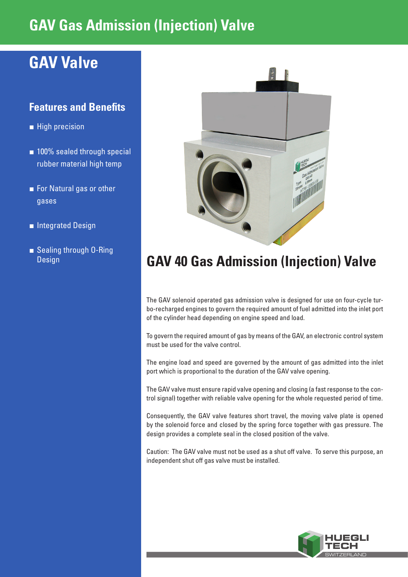## **GAV Gas Admission (Injection) Valve**

## **GAV Valve**

#### **Features and Benefits**

- **■** High precision
- 100% sealed through special rubber material high temp
- For Natural gas or other gases
- **■** Integrated Design
- **■** Sealing through O-Ring



### **Design CAV 40 Gas Admission (Injection) Valve**

The GAV solenoid operated gas admission valve is designed for use on four-cycle turbo-recharged engines to govern the required amount of fuel admitted into the inlet port of the cylinder head depending on engine speed and load.

To govern the required amount of gas by means of the GAV, an electronic control system must be used for the valve control.

The engine load and speed are governed by the amount of gas admitted into the inlet port which is proportional to the duration of the GAV valve opening.

The GAV valve must ensure rapid valve opening and closing (a fast response to the control signal) together with reliable valve opening for the whole requested period of time.

Consequently, the GAV valve features short travel, the moving valve plate is opened by the solenoid force and closed by the spring force together with gas pressure. The design provides a complete seal in the closed position of the valve.

Caution: The GAV valve must not be used as a shut off valve. To serve this purpose, an independent shut off gas valve must be installed.

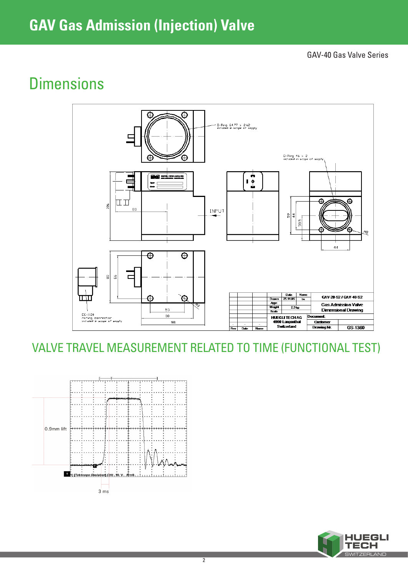## **GAV Gas Admission (Injection) Valve**

GAV-40 Gas Valve Series

## **Dimensions**



VALVE TRAVEL MEASUREMENT RELATED TO TIME (FUNCTIONAL TEST)